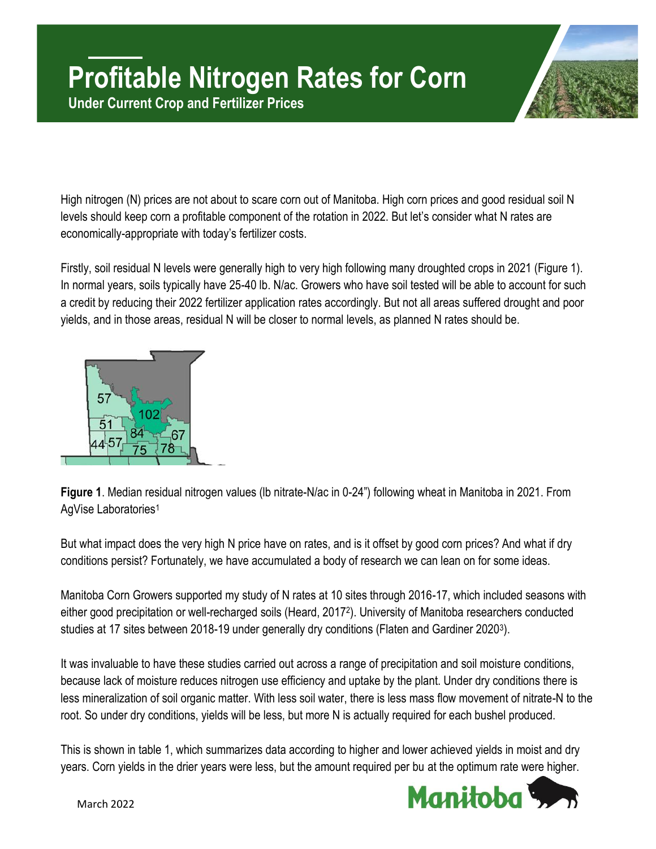

High nitrogen (N) prices are not about to scare corn out of Manitoba. High corn prices and good residual soil N levels should keep corn a profitable component of the rotation in 2022. But let's consider what N rates are economically-appropriate with today's fertilizer costs.

Firstly, soil residual N levels were generally high to very high following many droughted crops in 2021 (Figure 1). In normal years, soils typically have 25-40 lb. N/ac. Growers who have soil tested will be able to account for such a credit by reducing their 2022 fertilizer application rates accordingly. But not all areas suffered drought and poor yields, and in those areas, residual N will be closer to normal levels, as planned N rates should be.



**Figure 1**. Median residual nitrogen values (lb nitrate-N/ac in 0-24") following wheat in Manitoba in 2021. From AgVise Laboratories<sup>1</sup>

But what impact does the very high N price have on rates, and is it offset by good corn prices? And what if dry conditions persist? Fortunately, we have accumulated a body of research we can lean on for some ideas.

Manitoba Corn Growers supported my study of N rates at 10 sites through 2016-17, which included seasons with either good precipitation or well-recharged soils (Heard, 2017<sup>2</sup> ). University of Manitoba researchers conducted studies at 17 sites between 2018-19 under generally dry conditions (Flaten and Gardiner 2020<sup>3</sup>).

It was invaluable to have these studies carried out across a range of precipitation and soil moisture conditions, because lack of moisture reduces nitrogen use efficiency and uptake by the plant. Under dry conditions there is less mineralization of soil organic matter. With less soil water, there is less mass flow movement of nitrate-N to the root. So under dry conditions, yields will be less, but more N is actually required for each bushel produced.

This is shown in table 1, which summarizes data according to higher and lower achieved yields in moist and dry years. Corn yields in the drier years were less, but the amount required per bu at the optimum rate were higher.

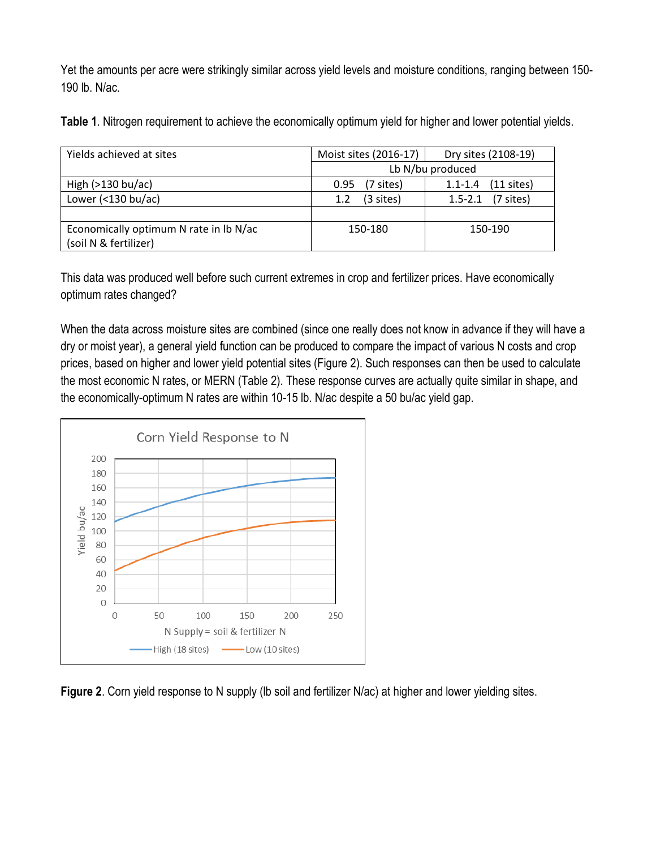Yet the amounts per acre were strikingly similar across yield levels and moisture conditions, ranging between 150- 190 lb. N/ac.

**Table 1**. Nitrogen requirement to achieve the economically optimum yield for higher and lower potential yields.

| Moist sites (2016-17) | Dry sites (2108-19)                |  |
|-----------------------|------------------------------------|--|
| Lb N/bu produced      |                                    |  |
| (7 sites)<br>0.95     | $(11$ sites)<br>$1.1 - 1.4$        |  |
| (3 sites)<br>1.2      | $(7 \text{ sites})$<br>$1.5 - 2.1$ |  |
|                       |                                    |  |
| 150-180               | 150-190                            |  |
|                       |                                    |  |

This data was produced well before such current extremes in crop and fertilizer prices. Have economically optimum rates changed?

When the data across moisture sites are combined (since one really does not know in advance if they will have a dry or moist year), a general yield function can be produced to compare the impact of various N costs and crop prices, based on higher and lower yield potential sites (Figure 2). Such responses can then be used to calculate the most economic N rates, or MERN (Table 2). These response curves are actually quite similar in shape, and the economically-optimum N rates are within 10-15 lb. N/ac despite a 50 bu/ac yield gap.



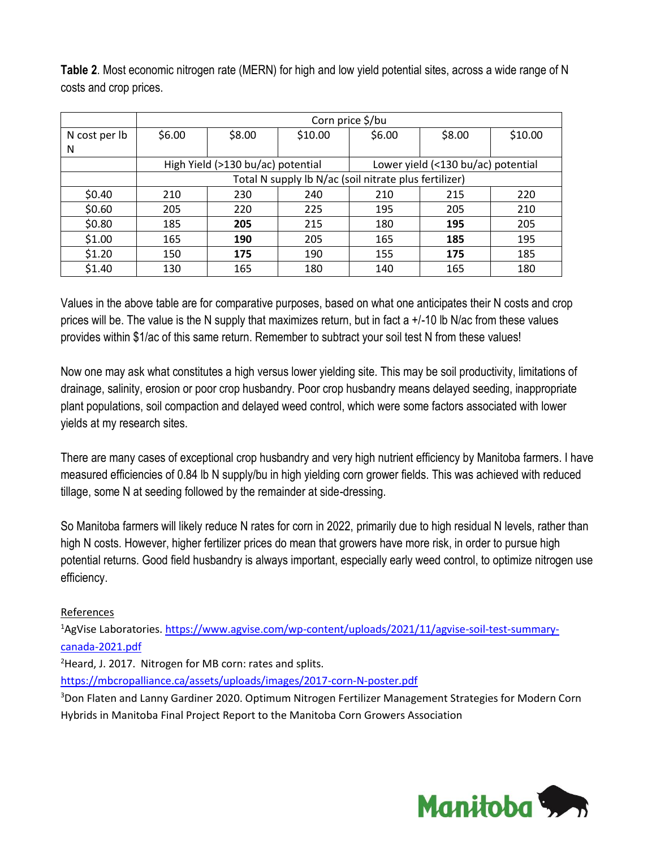|               | Corn price \$/bu                                      |        |         |                                    |        |         |  |
|---------------|-------------------------------------------------------|--------|---------|------------------------------------|--------|---------|--|
| N cost per lb | \$6.00                                                | \$8.00 | \$10.00 | \$6.00                             | \$8.00 | \$10.00 |  |
| N             |                                                       |        |         |                                    |        |         |  |
|               | High Yield (>130 bu/ac) potential                     |        |         | Lower yield (<130 bu/ac) potential |        |         |  |
|               | Total N supply Ib N/ac (soil nitrate plus fertilizer) |        |         |                                    |        |         |  |
| \$0.40        | 210                                                   | 230    | 240     | 210                                | 215    | 220     |  |
| \$0.60        | 205                                                   | 220    | 225     | 195                                | 205    | 210     |  |
| \$0.80        | 185                                                   | 205    | 215     | 180                                | 195    | 205     |  |
| \$1.00        | 165                                                   | 190    | 205     | 165                                | 185    | 195     |  |
| \$1.20        | 150                                                   | 175    | 190     | 155                                | 175    | 185     |  |
| \$1.40        | 130                                                   | 165    | 180     | 140                                | 165    | 180     |  |

**Table 2**. Most economic nitrogen rate (MERN) for high and low yield potential sites, across a wide range of N costs and crop prices.

Values in the above table are for comparative purposes, based on what one anticipates their N costs and crop prices will be. The value is the N supply that maximizes return, but in fact a +/-10 lb N/ac from these values provides within \$1/ac of this same return. Remember to subtract your soil test N from these values!

Now one may ask what constitutes a high versus lower yielding site. This may be soil productivity, limitations of drainage, salinity, erosion or poor crop husbandry. Poor crop husbandry means delayed seeding, inappropriate plant populations, soil compaction and delayed weed control, which were some factors associated with lower yields at my research sites.

There are many cases of exceptional crop husbandry and very high nutrient efficiency by Manitoba farmers. I have measured efficiencies of 0.84 lb N supply/bu in high yielding corn grower fields. This was achieved with reduced tillage, some N at seeding followed by the remainder at side-dressing.

So Manitoba farmers will likely reduce N rates for corn in 2022, primarily due to high residual N levels, rather than high N costs. However, higher fertilizer prices do mean that growers have more risk, in order to pursue high potential returns. Good field husbandry is always important, especially early weed control, to optimize nitrogen use efficiency.

## References

<sup>1</sup>AgVise Laboratories. [https://www.agvise.com/wp-content/uploads/2021/11/agvise-soil-test-summary](https://www.agvise.com/wp-content/uploads/2021/11/agvise-soil-test-summary-canada-2021.pdf)[canada-2021.pdf](https://www.agvise.com/wp-content/uploads/2021/11/agvise-soil-test-summary-canada-2021.pdf)

<sup>2</sup>Heard, J. 2017. Nitrogen for MB corn: rates and splits.

<https://mbcropalliance.ca/assets/uploads/images/2017-corn-N-poster.pdf>

<sup>3</sup>Don Flaten and Lanny Gardiner 2020. Optimum Nitrogen Fertilizer Management Strategies for Modern Corn Hybrids in Manitoba Final Project Report to the Manitoba Corn Growers Association